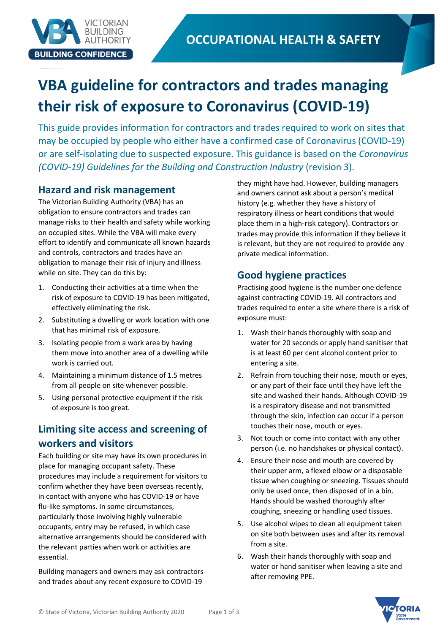

# **VBA guideline for contractors and trades managing their risk of exposure to Coronavirus (COVID-19)**

This guide provides information for contractors and trades required to work on sites that may be occupied by people who either have a confirmed case of Coronavirus (COVID-19) or are self-isolating due to suspected exposure. This guidance is based on the *Coronavirus (COVID-19) Guidelines for the Building and Construction Industry* (revision 3).

### **Hazard and risk management**

The Victorian Building Authority (VBA) has an obligation to ensure contractors and trades can manage risks to their health and safety while working on occupied sites. While the VBA will make every effort to identify and communicate all known hazards and controls, contractors and trades have an obligation to manage their risk of injury and illness while on site. They can do this by:

- 1. Conducting their activities at a time when the risk of exposure to COVID-19 has been mitigated, effectively eliminating the risk.
- 2. Substituting a dwelling or work location with one that has minimal risk of exposure.
- 3. Isolating people from a work area by having them move into another area of a dwelling while work is carried out.
- 4. Maintaining a minimum distance of 1.5 metres from all people on site whenever possible.
- 5. Using personal protective equipment if the risk of exposure is too great.

## **Limiting site access and screening of workers and visitors**

Each building or site may have its own procedures in place for managing occupant safety. These procedures may include a requirement for visitors to confirm whether they have been overseas recently, in contact with anyone who has COVID-19 or have flu-like symptoms. In some circumstances, particularly those involving highly vulnerable occupants, entry may be refused, in which case alternative arrangements should be considered with the relevant parties when work or activities are essential.

Building managers and owners may ask contractors and trades about any recent exposure to COVID-19

they might have had. However, building managers and owners cannot ask about a person's medical history (e.g. whether they have a history of respiratory illness or heart conditions that would place them in a high-risk category). Contractors or trades may provide this information if they believe it is relevant, but they are not required to provide any private medical information.

## **Good hygiene practices**

Practising good hygiene is the number one defence against contracting COVID-19. All contractors and trades required to enter a site where there is a risk of exposure must:

- 1. Wash their hands thoroughly with soap and water for 20 seconds or apply hand sanitiser that is at least 60 per cent alcohol content prior to entering a site.
- 2. Refrain from touching their nose, mouth or eyes, or any part of their face until they have left the site and washed their hands. Although COVID-19 is a respiratory disease and not transmitted through the skin, infection can occur if a person touches their nose, mouth or eyes.
- 3. Not touch or come into contact with any other person (i.e. no handshakes or physical contact).
- 4. Ensure their nose and mouth are covered by their upper arm, a flexed elbow or a disposable tissue when coughing or sneezing. Tissues should only be used once, then disposed of in a bin. Hands should be washed thoroughly after coughing, sneezing or handling used tissues.
- 5. Use alcohol wipes to clean all equipment taken on site both between uses and after its removal from a site.
- 6. Wash their hands thoroughly with soap and water or hand sanitiser when leaving a site and after removing PPE.

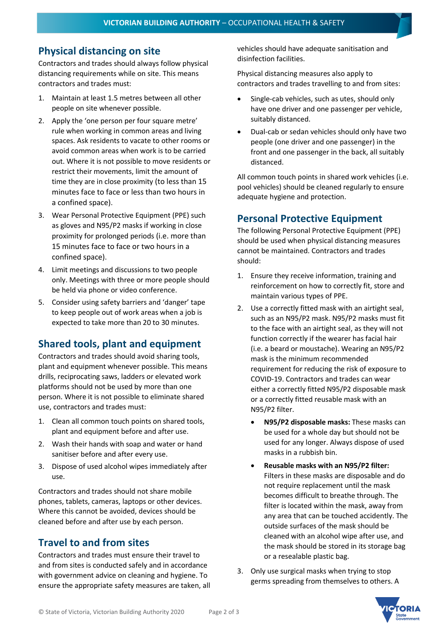#### **Physical distancing on site**

Contractors and trades should always follow physical distancing requirements while on site. This means contractors and trades must:

- 1. Maintain at least 1.5 metres between all other people on site whenever possible.
- 2. Apply the 'one person per four square metre' rule when working in common areas and living spaces. Ask residents to vacate to other rooms or avoid common areas when work is to be carried out. Where it is not possible to move residents or restrict their movements, limit the amount of time they are in close proximity (to less than 15 minutes face to face or less than two hours in a confined space).
- 3. Wear Personal Protective Equipment (PPE) such as gloves and N95/P2 masks if working in close proximity for prolonged periods (i.e. more than 15 minutes face to face or two hours in a confined space).
- 4. Limit meetings and discussions to two people only. Meetings with three or more people should be held via phone or video conference.
- 5. Consider using safety barriers and 'danger' tape to keep people out of work areas when a job is expected to take more than 20 to 30 minutes.

#### **Shared tools, plant and equipment**

Contractors and trades should avoid sharing tools, plant and equipment whenever possible. This means drills, reciprocating saws, ladders or elevated work platforms should not be used by more than one person. Where it is not possible to eliminate shared use, contractors and trades must:

- 1. Clean all common touch points on shared tools, plant and equipment before and after use.
- 2. Wash their hands with soap and water or hand sanitiser before and after every use.
- 3. Dispose of used alcohol wipes immediately after use.

Contractors and trades should not share mobile phones, tablets, cameras, laptops or other devices. Where this cannot be avoided, devices should be cleaned before and after use by each person.

#### **Travel to and from sites**

Contractors and trades must ensure their travel to and from sites is conducted safely and in accordance with government advice on cleaning and hygiene. To ensure the appropriate safety measures are taken, all vehicles should have adequate sanitisation and disinfection facilities.

Physical distancing measures also apply to contractors and trades travelling to and from sites:

- Single-cab vehicles, such as utes, should only have one driver and one passenger per vehicle, suitably distanced.
- Dual-cab or sedan vehicles should only have two people (one driver and one passenger) in the front and one passenger in the back, all suitably distanced.

All common touch points in shared work vehicles (i.e. pool vehicles) should be cleaned regularly to ensure adequate hygiene and protection.

#### **Personal Protective Equipment**

The following Personal Protective Equipment (PPE) should be used when physical distancing measures cannot be maintained. Contractors and trades should:

- 1. Ensure they receive information, training and reinforcement on how to correctly fit, store and maintain various types of PPE.
- 2. Use a correctly fitted mask with an airtight seal, such as an N95/P2 mask. N95/P2 masks must fit to the face with an airtight seal, as they will not function correctly if the wearer has facial hair (i.e. a beard or moustache). Wearing an N95/P2 mask is the minimum recommended requirement for reducing the risk of exposure to COVID-19. Contractors and trades can wear either a correctly fitted N95/P2 disposable mask or a correctly fitted reusable mask with an N95/P2 filter.
	- **N95/P2 disposable masks:** These masks can be used for a whole day but should not be used for any longer. Always dispose of used masks in a rubbish bin.
	- **Reusable masks with an N95/P2 filter:** Filters in these masks are disposable and do not require replacement until the mask becomes difficult to breathe through. The filter is located within the mask, away from any area that can be touched accidently. The outside surfaces of the mask should be cleaned with an alcohol wipe after use, and the mask should be stored in its storage bag or a resealable plastic bag.
- 3. Only use surgical masks when trying to stop germs spreading from themselves to others. A